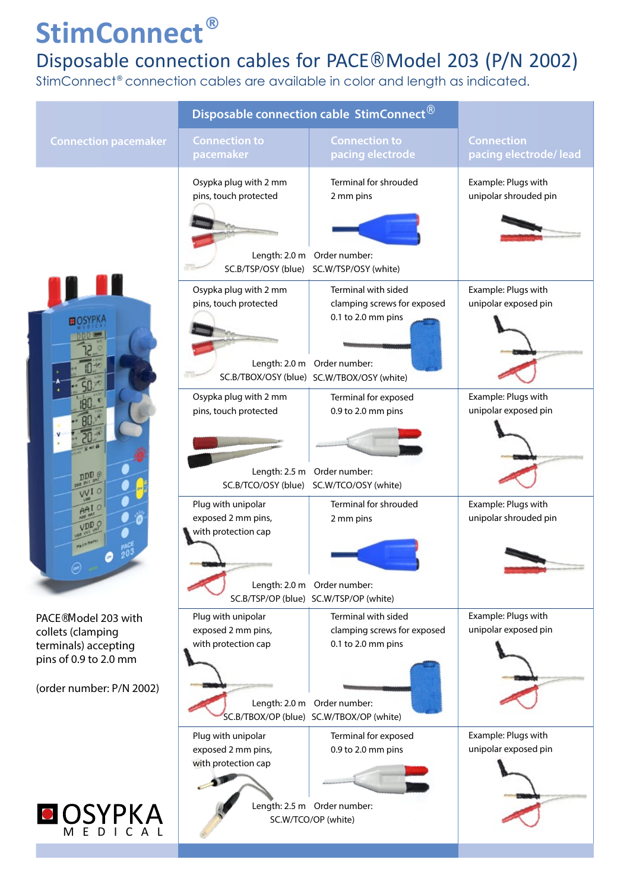## **StimConnect®**

## Disposable connection cables for PACE® Model 203 (P/N 2002)

StimConnect® connection cables are available in color and length as indicated.

|                                                                                                                                    | Disposable connection cable StimConnect®                              |                                                                                                                                                       |                                              |
|------------------------------------------------------------------------------------------------------------------------------------|-----------------------------------------------------------------------|-------------------------------------------------------------------------------------------------------------------------------------------------------|----------------------------------------------|
| <b>Connection pacemaker</b>                                                                                                        | <b>Connection to</b><br>pacemaker                                     | <b>Connection to</b><br>pacing electrode                                                                                                              | <b>Connection</b><br>pacing electrode/lead   |
| <b>BOSYP</b><br><b>ppp</b> <sub>o</sub><br>VVI O<br>VDD.                                                                           | Osypka plug with 2 mm<br>pins, touch protected                        | Terminal for shrouded<br>2 mm pins<br>Length: 2.0 m Order number:<br>SC.B/TSP/OSY (blue) SC.W/TSP/OSY (white)                                         | Example: Plugs with<br>unipolar shrouded pin |
|                                                                                                                                    | Osypka plug with 2 mm<br>pins, touch protected                        | Terminal with sided<br>clamping screws for exposed<br>0.1 to 2.0 mm pins<br>Length: 2.0 m Order number:<br>SC.B/TBOX/OSY (blue) SC.W/TBOX/OSY (white) | Example: Plugs with<br>unipolar exposed pin  |
|                                                                                                                                    | Osypka plug with 2 mm<br>pins, touch protected<br>SC.B/TCO/OSY (blue) | Terminal for exposed<br>0.9 to 2.0 mm pins<br>Length: 2.5 m Order number:<br>SC.W/TCO/OSY (white)                                                     | Example: Plugs with<br>unipolar exposed pin  |
|                                                                                                                                    | Plug with unipolar<br>exposed 2 mm pins,<br>with protection cap       | Terminal for shrouded<br>2 mm pins<br>Length: 2.0 m Order number:<br>SC.B/TSP/OP (blue) SC.W/TSP/OP (white)                                           | Example: Plugs with<br>unipolar shrouded pin |
| PACE <sup>®</sup> Model 203 with<br>collets (clamping<br>terminals) accepting<br>pins of 0.9 to 2.0 mm<br>(order number: P/N 2002) | Plug with unipolar<br>exposed 2 mm pins,<br>with protection cap       | Terminal with sided<br>clamping screws for exposed<br>0.1 to 2.0 mm pins<br>Length: 2.0 m Order number:<br>SC.B/TBOX/OP (blue) SC.W/TBOX/OP (white)   | Example: Plugs with<br>unipolar exposed pin  |
|                                                                                                                                    | Plug with unipolar<br>exposed 2 mm pins,<br>with protection cap       | Terminal for exposed<br>0.9 to 2.0 mm pins                                                                                                            | Example: Plugs with<br>unipolar exposed pin  |
| OSYPKA                                                                                                                             | Length: 2.5 m Order number:<br>SC.W/TCO/OP (white)                    |                                                                                                                                                       |                                              |